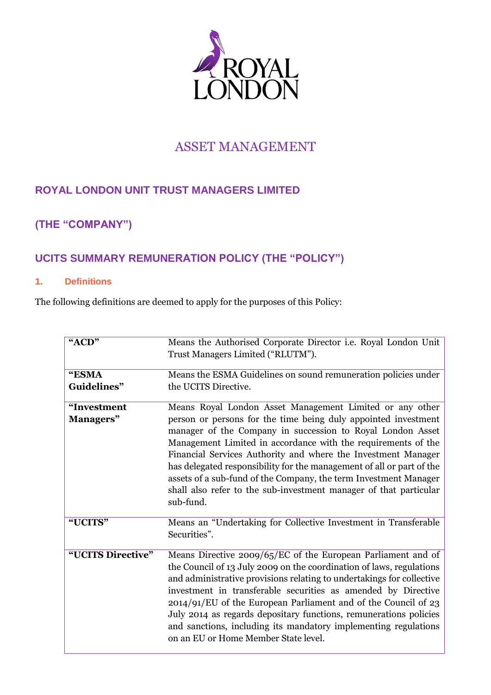

# ASSET MANAGEMENT

# **ROYAL LONDON UNIT TRUST MANAGERS LIMITED**

# **(THE "COMPANY")**

# **UCITS SUMMARY REMUNERATION POLICY (THE "POLICY")**

### **1. Definitions**

The following definitions are deemed to apply for the purposes of this Policy:

| "ACD"                    | Means the Authorised Corporate Director i.e. Royal London Unit<br>Trust Managers Limited ("RLUTM").                                                                                                                                                                                                                                                                                                                                                                                                                                                       |
|--------------------------|-----------------------------------------------------------------------------------------------------------------------------------------------------------------------------------------------------------------------------------------------------------------------------------------------------------------------------------------------------------------------------------------------------------------------------------------------------------------------------------------------------------------------------------------------------------|
| "ESMA<br>Guidelines"     | Means the ESMA Guidelines on sound remuneration policies under<br>the UCITS Directive.                                                                                                                                                                                                                                                                                                                                                                                                                                                                    |
| "Investment<br>Managers" | Means Royal London Asset Management Limited or any other<br>person or persons for the time being duly appointed investment<br>manager of the Company in succession to Royal London Asset<br>Management Limited in accordance with the requirements of the<br>Financial Services Authority and where the Investment Manager<br>has delegated responsibility for the management of all or part of the<br>assets of a sub-fund of the Company, the term Investment Manager<br>shall also refer to the sub-investment manager of that particular<br>sub-fund. |
| "UCITS"                  | Means an "Undertaking for Collective Investment in Transferable<br>Securities".                                                                                                                                                                                                                                                                                                                                                                                                                                                                           |
| "UCITS Directive"        | Means Directive 2009/65/EC of the European Parliament and of<br>the Council of 13 July 2009 on the coordination of laws, regulations<br>and administrative provisions relating to undertakings for collective<br>investment in transferable securities as amended by Directive<br>$2014/91/EU$ of the European Parliament and of the Council of 23<br>July 2014 as regards depositary functions, remunerations policies<br>and sanctions, including its mandatory implementing regulations<br>on an EU or Home Member State level.                        |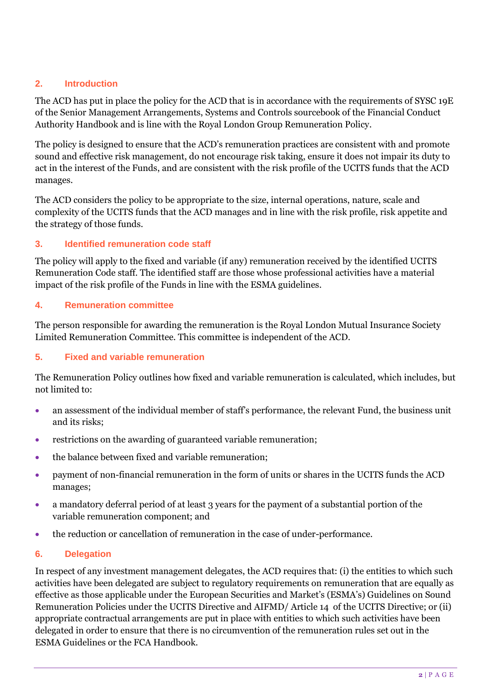## **2. Introduction**

The ACD has put in place the policy for the ACD that is in accordance with the requirements of SYSC 19E of the Senior Management Arrangements, Systems and Controls sourcebook of the Financial Conduct Authority Handbook and is line with the Royal London Group Remuneration Policy.

The policy is designed to ensure that the ACD's remuneration practices are consistent with and promote sound and effective risk management, do not encourage risk taking, ensure it does not impair its duty to act in the interest of the Funds, and are consistent with the risk profile of the UCITS funds that the ACD manages.

The ACD considers the policy to be appropriate to the size, internal operations, nature, scale and complexity of the UCITS funds that the ACD manages and in line with the risk profile, risk appetite and the strategy of those funds.

## **3. Identified remuneration code staff**

The policy will apply to the fixed and variable (if any) remuneration received by the identified UCITS Remuneration Code staff. The identified staff are those whose professional activities have a material impact of the risk profile of the Funds in line with the ESMA guidelines.

### **4. Remuneration committee**

The person responsible for awarding the remuneration is the Royal London Mutual Insurance Society Limited Remuneration Committee. This committee is independent of the ACD.

# **5. Fixed and variable remuneration**

The Remuneration Policy outlines how fixed and variable remuneration is calculated, which includes, but not limited to:

- an assessment of the individual member of staff's performance, the relevant Fund, the business unit and its risks;
- restrictions on the awarding of guaranteed variable remuneration;
- the balance between fixed and variable remuneration;
- payment of non-financial remuneration in the form of units or shares in the UCITS funds the ACD manages;
- a mandatory deferral period of at least 3 years for the payment of a substantial portion of the variable remuneration component; and
- the reduction or cancellation of remuneration in the case of under-performance.

### **6. Delegation**

In respect of any investment management delegates, the ACD requires that: (i) the entities to which such activities have been delegated are subject to regulatory requirements on remuneration that are equally as effective as those applicable under the European Securities and Market's (ESMA's) Guidelines on Sound Remuneration Policies under the UCITS Directive and AIFMD/ Article 14 of the UCITS Directive; or (ii) appropriate contractual arrangements are put in place with entities to which such activities have been delegated in order to ensure that there is no circumvention of the remuneration rules set out in the ESMA Guidelines or the FCA Handbook.